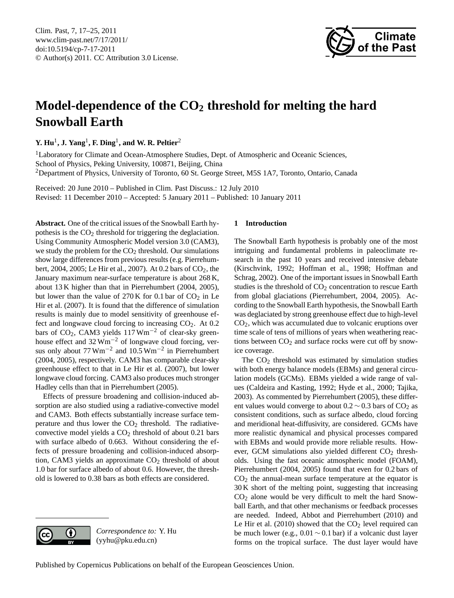<span id="page-0-0"></span>Clim. Past, 7, 17–25, 2011 www.clim-past.net/7/17/2011/ doi:10.5194/cp-7-17-2011 © Author(s) 2011. CC Attribution 3.0 License.



# **Model-dependence of the CO<sup>2</sup> threshold for melting the hard Snowball Earth**

**Y. Hu**<sup>1</sup> **, J. Yang**<sup>1</sup> **, F. Ding**<sup>1</sup> **, and W. R. Peltier**<sup>2</sup>

<sup>1</sup>Laboratory for Climate and Ocean-Atmosphere Studies, Dept. of Atmospheric and Oceanic Sciences, School of Physics, Peking University, 100871, Beijing, China <sup>2</sup>Department of Physics, University of Toronto, 60 St. George Street, M5S 1A7, Toronto, Ontario, Canada

Received: 20 June 2010 – Published in Clim. Past Discuss.: 12 July 2010 Revised: 11 December 2010 – Accepted: 5 January 2011 – Published: 10 January 2011

**Abstract.** One of the critical issues of the Snowball Earth hypothesis is the  $CO<sub>2</sub>$  threshold for triggering the deglaciation. Using Community Atmospheric Model version 3.0 (CAM3), we study the problem for the  $CO<sub>2</sub>$  threshold. Our simulations show large differences from previous results (e.g. Pierrehumbert, 2004, 2005; Le Hir et al., 2007). At 0.2 bars of CO<sub>2</sub>, the January maximum near-surface temperature is about 268 K, about 13 K higher than that in Pierrehumbert (2004, 2005), but lower than the value of  $270 K$  for 0.1 bar of  $CO<sub>2</sub>$  in Le Hir et al. (2007). It is found that the difference of simulation results is mainly due to model sensitivity of greenhouse effect and longwave cloud forcing to increasing CO2. At 0.2 bars of CO2, CAM3 yields 117 Wm−<sup>2</sup> of clear-sky greenhouse effect and  $32 \text{ Wm}^{-2}$  of longwave cloud forcing, versus only about  $77 \text{ Wm}^{-2}$  and  $10.5 \text{ Wm}^{-2}$  in Pierrehumbert (2004, 2005), respectively. CAM3 has comparable clear-sky greenhouse effect to that in Le Hir et al. (2007), but lower longwave cloud forcing. CAM3 also produces much stronger Hadley cells than that in Pierrehumbert (2005).

Effects of pressure broadening and collision-induced absorption are also studied using a radiative-convective model and CAM3. Both effects substantially increase surface temperature and thus lower the  $CO<sub>2</sub>$  threshold. The radiativeconvective model yields a  $CO<sub>2</sub>$  threshold of about 0.21 bars with surface albedo of 0.663. Without considering the effects of pressure broadening and collision-induced absorption, CAM3 yields an approximate  $CO<sub>2</sub>$  threshold of about 1.0 bar for surface albedo of about 0.6. However, the threshold is lowered to 0.38 bars as both effects are considered.



*Correspondence to:* Y. Hu (yyhu@pku.edu.cn)

## **1 Introduction**

The Snowball Earth hypothesis is probably one of the most intriguing and fundamental problems in paleoclimate research in the past 10 years and received intensive debate (Kirschvink, 1992; Hoffman et al., 1998; Hoffman and Schrag, 2002). One of the important issues in Snowball Earth studies is the threshold of  $CO<sub>2</sub>$  concentration to rescue Earth from global glaciations (Pierrehumbert, 2004, 2005). According to the Snowball Earth hypothesis, the Snowball Earth was deglaciated by strong greenhouse effect due to high-level CO2, which was accumulated due to volcanic eruptions over time scale of tens of millions of years when weathering reactions between  $CO<sub>2</sub>$  and surface rocks were cut off by snowice coverage.

The  $CO<sub>2</sub>$  threshold was estimated by simulation studies with both energy balance models (EBMs) and general circulation models (GCMs). EBMs yielded a wide range of values (Caldeira and Kasting, 1992; Hyde et al., 2000; Tajika, 2003). As commented by Pierrehumbert (2005), these different values would converge to about  $0.2 \sim 0.3$  bars of CO<sub>2</sub> as consistent conditions, such as surface albedo, cloud forcing and meridional heat-diffusivity, are considered. GCMs have more realistic dynamical and physical processes compared with EBMs and would provide more reliable results. However, GCM simulations also yielded different  $CO<sub>2</sub>$  thresholds. Using the fast oceanic atmospheric model (FOAM), Pierrehumbert (2004, 2005) found that even for 0.2 bars of  $CO<sub>2</sub>$  the annual-mean surface temperature at the equator is 30 K short of the melting point, suggesting that increasing  $CO<sub>2</sub>$  alone would be very difficult to melt the hard Snowball Earth, and that other mechanisms or feedback processes are needed. Indeed, Abbot and Pierrehumbert (2010) and Le Hir et al. (2010) showed that the  $CO<sub>2</sub>$  level required can be much lower (e.g.,  $0.01 \sim 0.1$  bar) if a volcanic dust layer forms on the tropical surface. The dust layer would have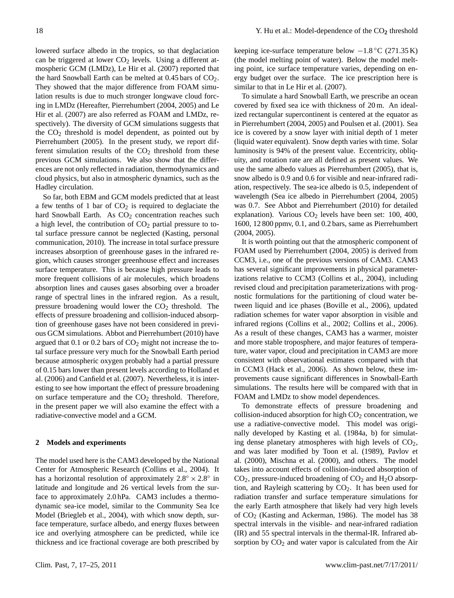lowered surface albedo in the tropics, so that deglaciation can be triggered at lower  $CO<sub>2</sub>$  levels. Using a different atmospheric GCM (LMDz), Le Hir et al. (2007) reported that the hard Snowball Earth can be melted at  $0.45$  bars of  $CO<sub>2</sub>$ . They showed that the major difference from FOAM simulation results is due to much stronger longwave cloud forcing in LMDz (Hereafter, Pierrehumbert (2004, 2005) and Le Hir et al. (2007) are also referred as FOAM and LMDz, respectively). The diversity of GCM simulations suggests that the  $CO<sub>2</sub>$  threshold is model dependent, as pointed out by Pierrehumbert (2005). In the present study, we report different simulation results of the  $CO<sub>2</sub>$  threshold from these previous GCM simulations. We also show that the differences are not only reflected in radiation, thermodynamics and cloud physics, but also in atmospheric dynamics, such as the Hadley circulation.

So far, both EBM and GCM models predicted that at least a few tenths of 1 bar of  $CO<sub>2</sub>$  is required to deglaciate the hard Snowball Earth. As  $CO<sub>2</sub>$  concentration reaches such a high level, the contribution of  $CO<sub>2</sub>$  partial pressure to total surface pressure cannot be neglected (Kasting, personal communication, 2010). The increase in total surface pressure increases absorption of greenhouse gases in the infrared region, which causes stronger greenhouse effect and increases surface temperature. This is because high pressure leads to more frequent collisions of air molecules, which broadens absorption lines and causes gases absorbing over a broader range of spectral lines in the infrared region. As a result, pressure broadening would lower the  $CO<sub>2</sub>$  threshold. The effects of pressure broadening and collision-induced absorption of greenhouse gases have not been considered in previous GCM simulations. Abbot and Pierrehumbert (2010) have argued that  $0.1$  or  $0.2$  bars of  $CO<sub>2</sub>$  might not increase the total surface pressure very much for the Snowball Earth period because atmospheric oxygen probably had a partial pressure of 0.15 bars lower than present levels according to Holland et al. (2006) and Canfield et al. (2007). Nevertheless, it is interesting to see how important the effect of pressure broadening on surface temperature and the  $CO<sub>2</sub>$  threshold. Therefore, in the present paper we will also examine the effect with a radiative-convective model and a GCM.

## **2 Models and experiments**

The model used here is the CAM3 developed by the National Center for Atmospheric Research (Collins et al., 2004). It has a horizontal resolution of approximately  $2.8^\circ \times 2.8^\circ$  in latitude and longitude and 26 vertical levels from the surface to approximately 2.0 hPa. CAM3 includes a thermodynamic sea-ice model, similar to the Community Sea Ice Model (Briegleb et al., 2004), with which snow depth, surface temperature, surface albedo, and energy fluxes between ice and overlying atmosphere can be predicted, while ice thickness and ice fractional coverage are both prescribed by keeping ice-surface temperature below  $-1.8 \degree C$  (271.35 K) (the model melting point of water). Below the model melting point, ice surface temperature varies, depending on energy budget over the surface. The ice prescription here is similar to that in Le Hir et al. (2007).

To simulate a hard Snowball Earth, we prescribe an ocean covered by fixed sea ice with thickness of 20 m. An idealized rectangular supercontinent is centered at the equator as in Pierrehumbert (2004, 2005) and Poulsen et al. (2001). Sea ice is covered by a snow layer with initial depth of 1 meter (liquid water equivalent). Snow depth varies with time. Solar luminosity is 94% of the present value. Eccentricity, obliquity, and rotation rate are all defined as present values. We use the same albedo values as Pierrehumbert (2005), that is, snow albedo is 0.9 and 0.6 for visible and near-infrared radiation, respectively. The sea-ice albedo is 0.5, independent of wavelength (Sea ice albedo in Pierrehumbert (2004, 2005) was 0.7. See Abbot and Pierrehumbert (2010) for detailed explanation). Various  $CO<sub>2</sub>$  levels have been set: 100, 400, 1600, 12 800 ppmv, 0.1, and 0.2 bars, same as Pierrehumbert (2004, 2005).

It is worth pointing out that the atmospheric component of FOAM used by Pierrehumbert (2004, 2005) is derived from CCM3, i.e., one of the previous versions of CAM3. CAM3 has several significant improvements in physical parameterizations relative to CCM3 (Collins et al., 2004), including revised cloud and precipitation parameterizations with prognostic formulations for the partitioning of cloud water between liquid and ice phases (Boville et al., 2006), updated radiation schemes for water vapor absorption in visible and infrared regions (Collins et al., 2002; Collins et al., 2006). As a result of these changes, CAM3 has a warmer, moister and more stable troposphere, and major features of temperature, water vapor, cloud and precipitation in CAM3 are more consistent with observational estimates compared with that in CCM3 (Hack et al., 2006). As shown below, these improvements cause significant differences in Snowball-Earth simulations. The results here will be compared with that in FOAM and LMDz to show model dependences.

To demonstrate effects of pressure broadening and collision-induced absorption for high  $CO<sub>2</sub>$  concentration, we use a radiative-convective model. This model was originally developed by Kasting et al. (1984a, b) for simulating dense planetary atmospheres with high levels of  $CO<sub>2</sub>$ , and was later modified by Toon et al. (1989), Pavlov et al. (2000), Mischna et al. (2000), and others. The model takes into account effects of collision-induced absorption of  $CO<sub>2</sub>$ , pressure-induced broadening of  $CO<sub>2</sub>$  and  $H<sub>2</sub>O$  absorption, and Rayleigh scattering by  $CO<sub>2</sub>$ . It has been used for radiation transfer and surface temperature simulations for the early Earth atmosphere that likely had very high levels of CO<sup>2</sup> (Kasting and Ackerman, 1986). The model has 38 spectral intervals in the visible- and near-infrared radiation (IR) and 55 spectral intervals in the thermal-IR. Infrared absorption by  $CO<sub>2</sub>$  and water vapor is calculated from the Air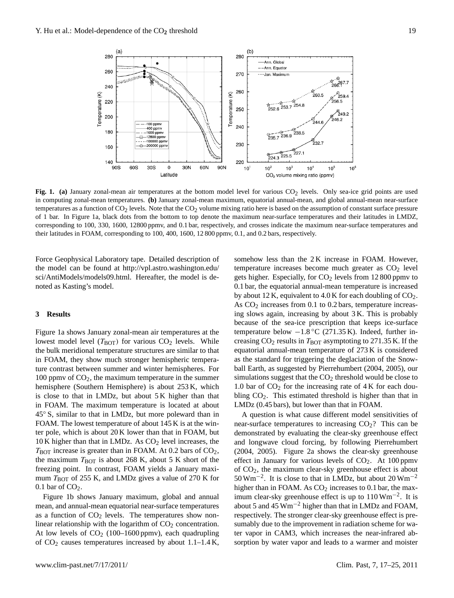

Fig. 1. (a) January zonal-mean air temperatures at the bottom model level for various  $CO_2$  levels. Only sea-ice grid points are used temperatures as a function of  $\rm{CO_2}$  levels. Note that the  $\rm{CO_2}$  volume mixing ratio here is based on the assumption of constant surface pressure corresponding to 100, 330, 1600, 12800 ppmv, and 0.1 bar, respectively, and crosses indicate the maximum near-surface temperatures and in computing zonal-mean temperatures. **(b)** January zonal-mean maximum, equatorial annual-mean, and global annual-mean near-surface of 1 bar. In Figure 1a, black dots from the bottom to top denote the maximum near-surface temperatures and their latitudes in LMDZ, their latitudes in FOAM, corresponding to 100, 400, 1600, 12 800 ppmv, 0.1, and 0.2 bars, respectively.

Force Geophysical Laboratory tape. Detailed description of the model can be found at [http://vpl.astro.washington.edu/](http://vpl.astro.washington.edu/sci/AntiModels/models09.html) [sci/AntiModels/models09.html.](http://vpl.astro.washington.edu/sci/AntiModels/models09.html) Hereafter, the model is denoted as Kasting's model.

#### **3 Results**

in FOAM, they show much stronger hemispheric tempera-Figure 1a shows January zonal-mean air temperatures at the lowest model level  $(T_{\text{BOT}})$  for various  $CO_2$  levels. While the bulk meridional temperature structures are similar to that ture contrast between summer and winter hemispheres. For 100 ppmv of  $CO<sub>2</sub>$ , the maximum temperature in the summer hemisphere (Southern Hemisphere) is about 253 K, which is close to that in LMDz, but about 5 K higher than that in FOAM. The maximum temperature is located at about 45◦ S, similar to that in LMDz, but more poleward than in FOAM. The lowest temperature of about 145 K is at the winter pole, which is about 20 K lower than that in FOAM, but  $10$  K higher than that in LMDz. As  $CO<sub>2</sub>$  level increases, the  $T_{\text{BOT}}$  increase is greater than in FOAM. At 0.2 bars of  $CO<sub>2</sub>$ , the maximum  $T_{\text{BOT}}$  is about 268 K, about 5 K short of the freezing point. In contrast, FOAM yields a January maximum  $T_{\text{BOT}}$  of 255 K, and LMDz gives a value of 270 K for  $0.1$  bar of  $CO<sub>2</sub>$ .

Figure 1b shows January maximum, global and annual mean, and annual-mean equatorial near-surface temperatures as a function of  $CO<sub>2</sub>$  levels. The temperatures show nonlinear relationship with the logarithm of  $CO<sub>2</sub>$  concentration. At low levels of  $CO<sub>2</sub>$  (100–1600 ppmv), each quadrupling of  $CO<sub>2</sub>$  causes temperatures increased by about  $1.1-1.4$  K,

ound at http://vpl.astro.washington.edu/ temperature increases become much greater as CO<sub>2</sub> level nodel. **Example 19** and the maximum near-surface temperature temperature is increased As  $CO<sub>2</sub>$  increases from 0.1 to 0.2 bars, temperature increasbecause of the sea-ice prescription that keeps ice-surface ( $T_{\text{BOT}}$ ) for various CO<sub>2</sub> levels. While creasing CO<sub>2</sub> results in  $T_{\text{BOT}}$  asymptoting to 271.35 K. If the somehow less than the 2K increase in FOAM. However, gets higher. Especially, for  $CO<sub>2</sub>$  levels from 12 800 ppmv to by about 12 K, equivalent to 4.0 K for each doubling of  $CO<sub>2</sub>$ . ing slows again, increasing by about 3 K. This is probably temperature below −1.8 ◦C (271.35 K). Indeed, further inequatorial annual-mean temperature of 273 K is considered as the standard for triggering the deglaciation of the Snowball Earth, as suggested by Pierrehumbert (2004, 2005), our simulations suggest that the  $CO<sub>2</sub>$  threshold would be close to 1.0 bar of  $CO<sub>2</sub>$  for the increasing rate of 4 K for each doubling  $CO<sub>2</sub>$ . This estimated threshold is higher than that in LMDz (0.45 bars), but lower than that in FOAM.

> A question is what cause different model sensitivities of near-surface temperatures to increasing  $CO<sub>2</sub>$ ? This can be demonstrated by evaluating the clear-sky greenhouse effect and longwave cloud forcing, by following Pierrehumbert (2004, 2005). Figure 2a shows the clear-sky greenhouse effect in January for various levels of  $CO<sub>2</sub>$ . At 100 ppmv of CO2, the maximum clear-sky greenhouse effect is about 50 Wm−<sup>2</sup> . It is close to that in LMDz, but about 20 Wm−<sup>2</sup> higher than in FOAM. As  $CO<sub>2</sub>$  increases to 0.1 bar, the maximum clear-sky greenhouse effect is up to 110 Wm−<sup>2</sup> . It is about 5 and 45 Wm−<sup>2</sup> higher than that in LMDz and FOAM, respectively. The stronger clear-sky greenhouse effect is presumably due to the improvement in radiation scheme for water vapor in CAM3, which increases the near-infrared absorption by water vapor and leads to a warmer and moister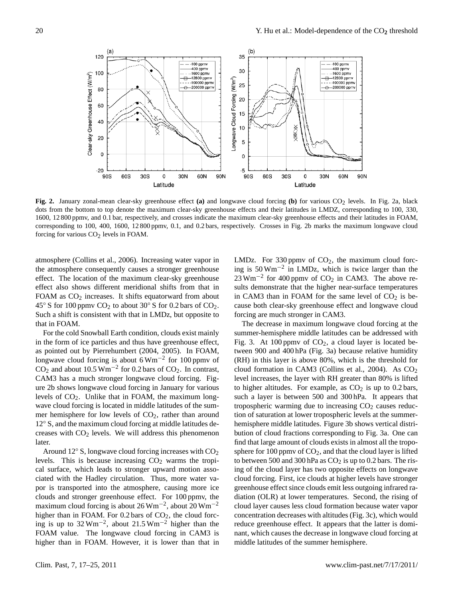

Fig. 2. January zonal-mean clear-sky greenhouse effect (a) and longwave cloud forcing (b) for various CO<sub>2</sub> levels. In Fig. 2a, black 1600, 12 800 ppmv, and 0.1 bar, respectively, and crosses indicate the maximum clear-sky greenhouse effects and their latitudes in FOAM,  $t_{\rm L}$  and the maximum clear-sky greenhouse effects and their latitudes in LMDZ, corresponding to  $t_{\rm L}$ dots from the bottom to top denote the maximum clear-sky greenhouse effects and their latitudes in LMDZ, corresponding to 100, 330, corresponding to 100, 400, 1600, 12 800 ppmv, 0.1, and 0.2 bars, respectively. Crosses in Fig. 2b marks the maximum longwave cloud forcing for various  $CO<sub>2</sub>$  levels in FOAM.

atmosphere (Collins et al., 2006). Increasing water vapor in the atmosphere consequently causes a stronger greenhouse effect. The location of the maximum clear-sky greenhouse effect also shows different meridional shifts from that in FOAM as  $CO<sub>2</sub>$  increases. It shifts equatorward from about 45 $\degree$  S for 100 ppmv CO<sub>2</sub> to about 30 $\degree$  S for 0.2 bars of CO<sub>2</sub>. Such a shift is consistent with that in LMDz, but opposite to that in FOAM.

For the cold Snowball Earth condition, clouds exist mainly in the form of ice particles and thus have greenhouse effect, as pointed out by Pierrehumbert (2004, 2005). In FOAM, longwave cloud forcing is about  $6 \text{ Wm}^{-2}$  for 100 ppmv of  $CO<sub>2</sub>$  and about 10.5 Wm<sup>-2</sup> for 0.2 bars of  $CO<sub>2</sub>$ . In contrast, CAM3 has a much stronger longwave cloud forcing. Figure 2b shows longwave cloud forcing in January for various levels of  $CO<sub>2</sub>$ . Unlike that in FOAM, the maximum longwave cloud forcing is located in middle latitudes of the summer hemisphere for low levels of  $CO<sub>2</sub>$ , rather than around 12◦ S, and the maximum cloud forcing at middle latitudes decreases with  $CO<sub>2</sub>$  levels. We will address this phenomenon later.

Around  $12°$  S, longwave cloud forcing increases with  $CO<sub>2</sub>$ levels. This is because increasing  $CO<sub>2</sub>$  warms the tropical surface, which leads to stronger upward motion associated with the Hadley circulation. Thus, more water vapor is transported into the atmosphere, causing more ice clouds and stronger greenhouse effect. For 100 ppmv, the maximum cloud forcing is about  $26 \,\mathrm{Wm}^{-2}$ , about  $20 \,\mathrm{Wm}^{-2}$ higher than in FOAM. For  $0.2$  bars of  $CO<sub>2</sub>$ , the cloud forcing is up to  $32 \text{ Wm}^{-2}$ , about  $21.5 \text{ Wm}^{-2}$  higher than the FOAM value. The longwave cloud forcing in CAM3 is higher than in FOAM. However, it is lower than that in

lins et al., 2006). Increasing water vapor in LMDz. For 330 ppmv of  $CO_2$ , the maximum cloud forction of the maximum clear-sky greenhouse  $23 \text{ Wm}^{-2}$  for 400 ppmv of CO<sub>2</sub> in CAM3. The above remy  $CO<sub>2</sub>$  to about  $30^{\circ}$  S for 0.2 bars of  $CO<sub>2</sub>$ . cause both clear-sky greenhouse effect and longwave cloud ing is 50 Wm−<sup>2</sup> in LMDz, which is twice larger than the sults demonstrate that the higher near-surface temperatures in CAM3 than in FOAM for the same level of  $CO<sub>2</sub>$  is beforcing are much stronger in CAM3.

The decrease in maximum longwave cloud forcing at the summer-hemisphere middle latitudes can be addressed with Fig. 3. At 100 ppmv of  $CO<sub>2</sub>$ , a cloud layer is located between 900 and 400 hPa (Fig. 3a) because relative humidity (RH) in this layer is above 80%, which is the threshold for cloud formation in CAM3 (Collins et al., 2004). As CO<sub>2</sub> level increases, the layer with RH greater than 80% is lifted to higher altitudes. For example, as  $CO<sub>2</sub>$  is up to 0.2 bars, such a layer is between 500 and 300 hPa. It appears that tropospheric warming due to increasing  $CO<sub>2</sub>$  causes reduction of saturation at lower tropospheric levels at the summerhemisphere middle latitudes. Figure 3b shows vertical distribution of cloud fractions corresponding to Fig. 3a. One can find that large amount of clouds exists in almost all the troposphere for 100 ppmv of  $CO<sub>2</sub>$ , and that the cloud layer is lifted to between 500 and 300 hPa as  $CO<sub>2</sub>$  is up to 0.2 bars. The rising of the cloud layer has two opposite effects on longwave cloud forcing. First, ice clouds at higher levels have stronger greenhouse effect since clouds emit less outgoing infrared radiation (OLR) at lower temperatures. Second, the rising of cloud layer causes less cloud formation because water vapor concentration decreases with altitudes (Fig. 3c), which would reduce greenhouse effect. It appears that the latter is dominant, which causes the decrease in longwave cloud forcing at middle latitudes of the summer hemisphere.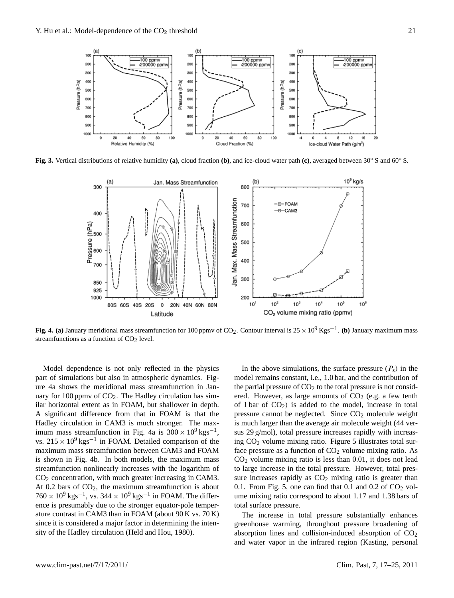

Fig. 3. Vertical distributions of relative humidity (a), cloud fraction (b), and ice-cloud water path (c), averaged between  $30^{\circ}$  S and  $60^{\circ}$  S.



Fig. 4. (a) January meridional mass streamfunction for 100 ppmv of CO<sub>2</sub>. Contour interval is  $25 \times 10^9$  Kgs<sup>-1</sup>. (b) January maximum mass streamfunctions as a function of  $CO<sub>2</sub>$  level.

Model dependence is not only reflected in the physics part of simulations but also in atmospheric dynamics. Figure 4a shows the meridional mass streamfunction in January for 100 ppmv of  $CO<sub>2</sub>$ . The Hadley circulation has similar horizontal extent as in FOAM, but shallower in depth. A significant difference from that in FOAM is that the Hadley circulation in CAM3 is much stronger. The maximum mass streamfunction in Fig. 4a is  $300 \times 10^9$  kgs<sup>-1</sup>, vs.  $215 \times 10^{9}$  kgs<sup>-1</sup> in FOAM. Detailed comparison of the maximum mass streamfunction between CAM3 and FOAM is shown in Fig. 4b. In both models, the maximum mass streamfunction nonlinearly increases with the logarithm of  $CO<sub>2</sub>$  concentration, with much greater increasing in CAM3. At  $0.2$  bars of  $CO<sub>2</sub>$ , the maximum streamfunction is about  $760 \times 10^9$  kgs<sup>-1</sup>, vs. 344 ×  $10^9$  kgs<sup>-1</sup> in FOAM. The difference is presumably due to the stronger equator-pole temperature contrast in CAM3 than in FOAM (about 90 K vs. 70 K) since it is considered a major factor in determining the intensity of the Hadley circulation (Held and Hou, 1980).

In the above simulations, the surface pressure  $(P_s)$  in the model remains constant, i.e., 1.0 bar, and the contribution of the partial pressure of  $CO<sub>2</sub>$  to the total pressure is not considered. However, as large amounts of  $CO<sub>2</sub>$  (e.g. a few tenth of 1 bar of  $CO<sub>2</sub>$ ) is added to the model, increase in total pressure cannot be neglected. Since  $CO<sub>2</sub>$  molecule weight is much larger than the average air molecule weight (44 versus 29 g/mol), total pressure increases rapidly with increasing CO<sup>2</sup> volume mixing ratio. Figure 5 illustrates total surface pressure as a function of  $CO<sub>2</sub>$  volume mixing ratio. As  $CO<sub>2</sub>$  volume mixing ratio is less than 0.01, it does not lead to large increase in the total pressure. However, total pressure increases rapidly as  $CO<sub>2</sub>$  mixing ratio is greater than 0.1. From Fig. 5, one can find that 0.1 and 0.2 of  $CO<sub>2</sub>$  volume mixing ratio correspond to about 1.17 and 1.38 bars of total surface pressure.

The increase in total pressure substantially enhances greenhouse warming, throughout pressure broadening of absorption lines and collision-induced absorption of  $CO<sub>2</sub>$ and water vapor in the infrared region (Kasting, personal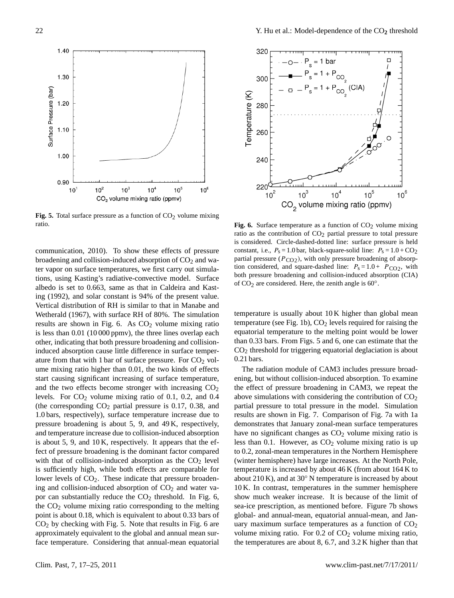

**Fig. 5.** Total surface pressure as a function of  $CO<sub>2</sub>$  volume mixing ratio.

and temperature increase due to collision-induced absorption communication, 2010). To show these effects of pressure broadening and collision-induced absorption of  $CO<sub>2</sub>$  and water vapor on surface temperatures, we first carry out simulations, using Kasting's radiative-convective model. Surface albedo is set to 0.663, same as that in Caldeira and Kasting (1992), and solar constant is 94% of the present value. Vertical distribution of RH is similar to that in Manabe and Wetherald (1967), with surface RH of 80%. The simulation results are shown in Fig. 6. As  $CO<sub>2</sub>$  volume mixing ratio is less than 0.01 (10 000 ppmv), the three lines overlap each other, indicating that both pressure broadening and collisioninduced absorption cause little difference in surface temperature from that with 1 bar of surface pressure. For  $CO<sub>2</sub>$  volume mixing ratio higher than 0.01, the two kinds of effects start causing significant increasing of surface temperature, and the two effects become stronger with increasing  $CO<sub>2</sub>$ levels. For  $CO<sub>2</sub>$  volume mixing ratio of 0.1, 0.2, and 0.4 (the corresponding  $CO<sub>2</sub>$  partial pressure is 0.17, 0.38, and 1.0 bars, respectively), surface temperature increase due to pressure broadening is about 5, 9, and 49 K, respectively, is about 5, 9, and 10 K, respectively. It appears that the effect of pressure broadening is the dominant factor compared with that of collision-induced absorption as the  $CO<sub>2</sub>$  level is sufficiently high, while both effects are comparable for lower levels of  $CO<sub>2</sub>$ . These indicate that pressure broadening and collision-induced absorption of  $CO<sub>2</sub>$  and water vapor can substantially reduce the  $CO<sub>2</sub>$  threshold. In Fig. 6, the  $CO<sub>2</sub>$  volume mixing ratio corresponding to the melting point is about 0.18, which is equivalent to about 0.33 bars of CO<sup>2</sup> by checking with Fig. 5. Note that results in Fig. 6 are approximately equivalent to the global and annual mean surface temperature. Considering that annual-mean equatorial



Fig. **6.** Surface temperature as a function of CO<sub>2</sub> volume mixing ratio as the contribution of CO<sub>2</sub> partial pressure to total pressure f pressure constant, i.e.,  $P_s = 1.0$  bar, black-square-solid line:  $P_s = 1.0 + CO_2$ It simula-<br>tion considered, and square-dashed line:  $P_s = 1.0 + P_{CO2}$ , with Surface of  $\overrightarrow{CO_2}$  are considered. Here, the zenith angle is 60°. **Fig. 6.** Surface temperature as a function of  $CO<sub>2</sub>$  volume mixing is considered. Circle-dashed-dotted line: surface pressure is held partial pressure  $(P_{CO2})$ , with only pressure broadening of absorpboth pressure broadening and collision-induced absorption (CIA)

imabe and<br>imulation both both pressure is usually about 10 K higher than global mean expression of CO2 are considered. Here, the zenith and the zenith angle is 600°. The considered in the constant of the melting point would be lower temperature (see Fig. 1b),  $CO<sub>2</sub>$  levels required for raising the than 0.33 bars. From Figs. 5 and 6, one can estimate that the  $CO<sub>2</sub>$  threshold for triggering equatorial deglaciation is about 0.21 bars.

> (winter hemisphere) have large increases. At the North Pole, The radiation module of CAM3 includes pressure broadening, but without collision-induced absorption. To examine the effect of pressure broadening in CAM3, we repeat the above simulations with considering the contribution of  $CO<sub>2</sub>$ partial pressure to total pressure in the model. Simulation results are shown in Fig. 7. Comparison of Fig. 7a with 1a demonstrates that January zonal-mean surface temperatures have no significant changes as  $CO<sub>2</sub>$  volume mixing ratio is less than 0.1. However, as  $CO<sub>2</sub>$  volume mixing ratio is up to 0.2, zonal-mean temperatures in the Northern Hemisphere temperature is increased by about 46 K (from about 164 K to about 210 K), and at 30 $^{\circ}$  N temperature is increased by about 10 K. In contrast, temperatures in the summer hemisphere show much weaker increase. It is because of the limit of sea-ice prescription, as mentioned before. Figure 7b shows global- and annual-mean, equatorial annual-mean, and January maximum surface temperatures as a function of  $CO<sub>2</sub>$ volume mixing ratio. For  $0.2$  of  $CO<sub>2</sub>$  volume mixing ratio, the temperatures are about 8, 6.7, and 3.2 K higher than that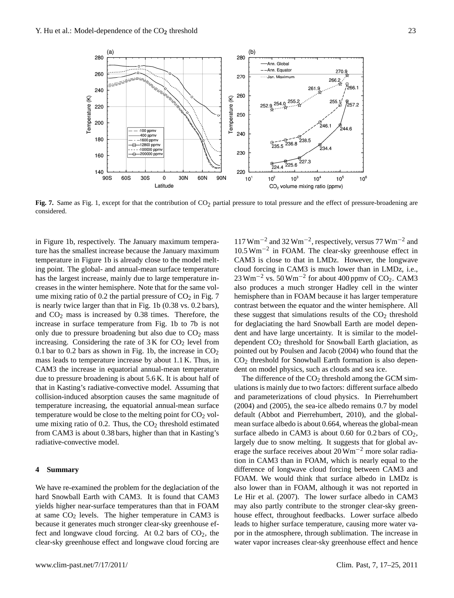

Fig. 7. Same as Fig. 1, except for that the contribution of  $CO<sub>2</sub>$  partial pressure to total pressure and the effect of pressure-broadening are considered.

in Figure 1b, respectively. The January maximum temperature has the smallest increase because the January maximum temperature in Figure 1b is already close to the model melting point. The global- and annual-mean surface temperature has the largest increase, mainly due to large temperature increases in the winter hemisphere. Note that for the same volume mixing ratio of 0.2 the partial pressure of  $CO<sub>2</sub>$  in Fig. 7 is nearly twice larger than that in Fig. 1b (0.38 vs. 0.2 bars), and  $CO<sub>2</sub>$  mass is increased by 0.38 times. Therefore, the increase in surface temperature from Fig. 1b to 7b is not only due to pressure broadening but also due to  $CO<sub>2</sub>$  mass increasing. Considering the rate of  $3K$  for  $CO<sub>2</sub>$  level from 0.1 bar to 0.2 bars as shown in Fig. 1b, the increase in  $CO<sub>2</sub>$ mass leads to temperature increase by about 1.1 K. Thus, in CAM3 the increase in equatorial annual-mean temperature due to pressure broadening is about 5.6 K. It is about half of that in Kasting's radiative-convective model. Assuming that collision-induced absorption causes the same magnitude of temperature increasing, the equatorial annual-mean surface temperature would be close to the melting point for  $CO<sub>2</sub>$  volume mixing ratio of 0.2. Thus, the  $CO<sub>2</sub>$  threshold estimated from CAM3 is about 0.38 bars, higher than that in Kasting's radiative-convective model.

### **4 Summary**

We have re-examined the problem for the deglaciation of the hard Snowball Earth with CAM3. It is found that CAM3 yields higher near-surface temperatures than that in FOAM at same  $CO<sub>2</sub>$  levels. The higher temperature in CAM3 is because it generates much stronger clear-sky greenhouse effect and longwave cloud forcing. At 0.2 bars of  $CO<sub>2</sub>$ , the clear-sky greenhouse effect and longwave cloud forcing are

117 Wm−<sup>2</sup> and 32 Wm−<sup>2</sup> , respectively, versus 77 Wm−<sup>2</sup> and 10.5 Wm−<sup>2</sup> in FOAM. The clear-sky greenhouse effect in CAM3 is close to that in LMDz. However, the longwave cloud forcing in CAM3 is much lower than in LMDz, i.e.,  $23 \text{ Wm}^{-2}$  vs. 50 Wm<sup>-2</sup> for about 400 ppmv of CO<sub>2</sub>. CAM3 also produces a much stronger Hadley cell in the winter hemisphere than in FOAM because it has larger temperature contrast between the equator and the winter hemisphere. All these suggest that simulations results of the  $CO<sub>2</sub>$  threshold for deglaciating the hard Snowball Earth are model dependent and have large uncertainty. It is similar to the modeldependent  $CO<sub>2</sub>$  threshold for Snowball Earth glaciation, as pointed out by Poulsen and Jacob (2004) who found that the  $CO<sub>2</sub>$  threshold for Snowball Earth formation is also dependent on model physics, such as clouds and sea ice.

The difference of the  $CO<sub>2</sub>$  threshold among the GCM simulations is mainly due to two factors: different surface albedo and parameterizations of cloud physics. In Pierrehumbert (2004) and (2005), the sea-ice albedo remains 0.7 by model default (Abbot and Pierrehumbert, 2010), and the globalmean surface albedo is about 0.664, whereas the global-mean surface albedo in CAM3 is about 0.60 for 0.2 bars of  $CO<sub>2</sub>$ , largely due to snow melting. It suggests that for global average the surface receives about  $20 \,\mathrm{Wm}^{-2}$  more solar radiation in CAM3 than in FOAM, which is nearly equal to the difference of longwave cloud forcing between CAM3 and FOAM. We would think that surface albedo in LMDz is also lower than in FOAM, although it was not reported in Le Hir et al. (2007). The lower surface albedo in CAM3 may also partly contribute to the stronger clear-sky greenhouse effect, throughout feedbacks. Lower surface albedo leads to higher surface temperature, causing more water vapor in the atmosphere, through sublimation. The increase in water vapor increases clear-sky greenhouse effect and hence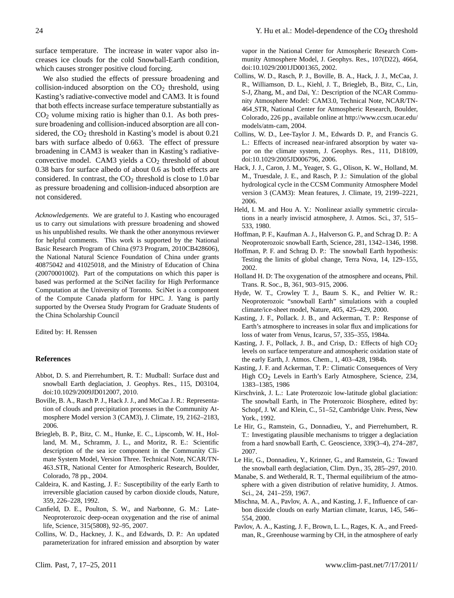surface temperature. The increase in water vapor also increases ice clouds for the cold Snowball-Earth condition, which causes stronger positive cloud forcing.

We also studied the effects of pressure broadening and collision-induced absorption on the  $CO<sub>2</sub>$  threshold, using Kasting's radiative-convective model and CAM3. It is found that both effects increase surface temperature substantially as  $CO<sub>2</sub>$  volume mixing ratio is higher than 0.1. As both pressure broadening and collision-induced absorption are all considered, the  $CO<sub>2</sub>$  threshold in Kasting's model is about 0.21 bars with surface albedo of 0.663. The effect of pressure broadening in CAM3 is weaker than in Kasting's radiativeconvective model. CAM3 yields a  $CO<sub>2</sub>$  threshold of about 0.38 bars for surface albedo of about 0.6 as both effects are considered. In contrast, the  $CO<sub>2</sub>$  threshold is close to 1.0 bar as pressure broadening and collision-induced absorption are not considered.

*Acknowledgements.* We are grateful to J. Kasting who encouraged us to carry out simulations with pressure broadening and showed us his unpublished results. We thank the other anonymous reviewer for helpful comments. This work is supported by the National Basic Research Program of China (973 Program, 2010CB428606), the National Natural Science Foundation of China under grants 40875042 and 41025018, and the Ministry of Education of China (20070001002). Part of the computations on which this paper is based was performed at the SciNet facility for High Performance Computation at the University of Toronto. SciNet is a component of the Compute Canada platform for HPC. J. Yang is partly supported by the Oversea Study Program for Graduate Students of the China Scholarship Council

Edited by: H. Renssen

## **References**

- Abbot, D. S. and Pierrehumbert, R. T.: Mudball: Surface dust and snowball Earth deglaciation, J. Geophys. Res., 115, D03104, doi:10.1029/2009JD012007, 2010.
- Boville, B. A., Rasch P. J., Hack J. J., and McCaa J. R.: Representation of clouds and precipitation processes in the Community Atmosphere Model version 3 (CAM3), J. Climate, 19, 2162–2183, 2006.
- Briegleb, B. P., Bitz, C. M., Hunke, E. C., Lipscomb, W. H., Holland, M. M., Schramm, J. L., and Moritz, R. E.: Scientific description of the sea ice component in the Community Climate System Model, Version Three. Technical Note, NCAR/TN-463 STR, National Center for Atmospheric Research, Boulder, Colorado, 78 pp., 2004.
- Caldeira, K. and Kasting, J. F.: Susceptibility of the early Earth to irreversible glaciation caused by carbon dioxide clouds, Nature, 359, 226–228, 1992.
- Canfield, D. E., Poulton, S. W., and Narbonne, G. M.: Late-Neoproterozoic deep-ocean oxygenation and the rise of animal life, Science, 315(5808), 92–95, 2007.
- Collins, W. D., Hackney, J. K., and Edwards, D. P.: An updated parameterization for infrared emission and absorption by water

vapor in the National Center for Atmospheric Research Community Atmosphere Model, J. Geophys. Res., 107(D22), 4664, doi:10.1029/2001JD001365, 2002.

- Collins, W. D., Rasch, P. J., Boville, B. A., Hack, J. J., McCaa, J. R., Williamson, D. L., Kiehl, J. T., Briegleb, B., Bitz, C., Lin, S-J, Zhang, M., and Dai, Y.: Description of the NCAR Community Atmosphere Model: CAM3.0, Technical Note, NCAR/TN-464 STR, National Center for Atmospheric Research, Boulder, Colorado, 226 pp., available online at [http://www.ccsm.ucar.edu/](http://www.ccsm.ucar.edu/models/atm-cam) [models/atm-cam,](http://www.ccsm.ucar.edu/models/atm-cam) 2004.
- Collins, W. D., Lee-Taylor J. M., Edwards D. P., and Francis G. L.: Effects of increased near-infrared absorption by water vapor on the climate system, J. Geophys. Res., 111, D18109, doi:10.1029/2005JD006796, 2006.
- Hack, J. J., Caron, J. M., Yeager, S. G., Olison, K. W., Holland, M. M., Truesdale, J. E., and Rasch, P. J.: Simulation of the global hydrological cycle in the CCSM Community Atmosphere Model version 3 (CAM3): Mean features, J. Climate, 19, 2199–2221, 2006.
- Held, I. M. and Hou A. Y.: Nonlinear axially symmetric circulations in a nearly inviscid atmosphere, J. Atmos. Sci., 37, 515– 533, 1980.
- Hoffman, P. F., Kaufman A. J., Halverson G. P., and Schrag D. P.: A Neoproterozoic snowball Earth, Science, 281, 1342–1346, 1998.
- Hoffman, P. F. and Schrag D. P.: The snowball Earth hypothesis: Testing the limits of global change, Terra Nova, 14, 129–155, 2002.
- Holland H. D: The oxygenation of the atmosphere and oceans, Phil. Trans. R. Soc., B, 361, 903–915, 2006.
- Hyde, W. T., Crowley T. J., Baum S. K., and Peltier W. R.: Neoproterozoic "snowball Earth" simulations with a coupled climate/ice-sheet model, Nature, 405, 425–429, 2000.
- Kasting, J. F., Pollack. J. B., and Ackerman, T. P.: Response of Earth's atmosphere to increases in solar flux and implications for loss of water from Venus, Icarus, 57, 335–355, 1984a.
- Kasting, J. F., Pollack, J. B., and Crisp, D.: Effects of high CO<sub>2</sub> levels on surface temperature and atmospheric oxidation state of the early Earth, J. Atmos. Chem., 1, 403–428, 1984b.
- Kasting, J. F. and Ackerman, T. P.: Climatic Consequences of Very High CO<sub>2</sub> Levels in Earth's Early Atmosphere, Science, 234, 1383–1385, 1986
- Kirschvink, J. L.: Late Proterozoic low-latitude global glaciation: The snowball Earth, in The Proterozoic Biosphere, edited by: Schopf, J. W. and Klein, C., 51–52, Cambridge Univ. Press, New York., 1992.
- Le Hir, G., Ramstein, G., Donnadieu, Y., and Pierrehumbert, R. T.: Investigating plausible mechanisms to trigger a deglaciation from a hard snowball Earth, C. Geoscience, 339(3–4), 274–287, 2007.
- Le Hir, G., Donnadieu, Y., Krinner, G., and Ramstein, G.: Toward the snowball earth deglaciation, Clim. Dyn., 35, 285–297, 2010.
- Manabe, S. and Wetherald, R. T., Thermal equilibrium of the atmosphere with a given distribution of relative humidity, J. Atmos. Sci., 24, 241–259, 1967.
- Mischna, M. A., Pavlov, A. A., and Kasting, J. F., Influence of carbon dioxide clouds on early Martian climate, Icarus, 145, 546– 554, 2000.
- Pavlov, A. A., Kasting, J. F., Brown, L. L., Rages, K. A., and Freedman, R., Greenhouse warming by CH, in the atmosphere of early